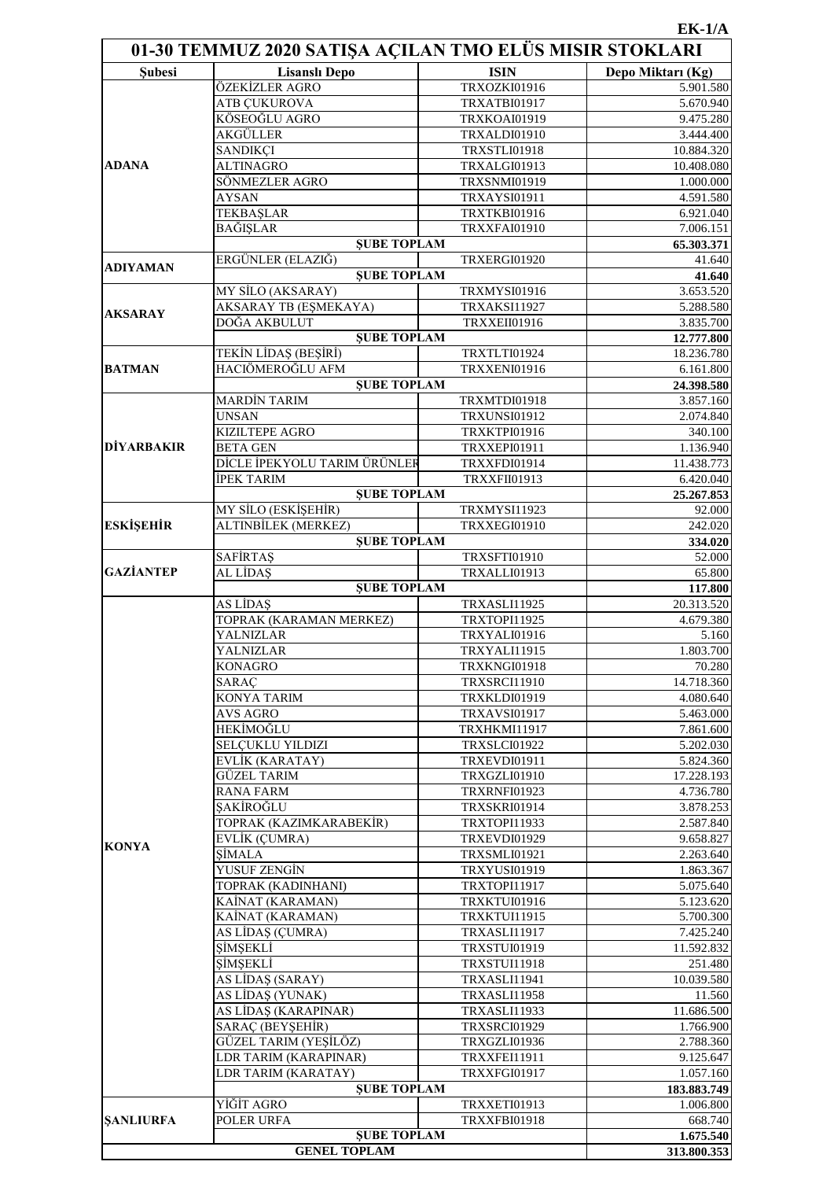## **EK-1/A**

| 01-30 TEMMUZ 2020 SATIŞA AÇILAN TMO ELÜS MISIR STOKLARI |                                           |                              |                               |  |
|---------------------------------------------------------|-------------------------------------------|------------------------------|-------------------------------|--|
| <b>Subesi</b>                                           | <b>Lisanslı Depo</b>                      | <b>ISIN</b>                  | Depo Miktarı (Kg)             |  |
|                                                         | ÖZEKİZLER AGRO                            | <b>TRXOZKI01916</b>          | 5.901.580                     |  |
|                                                         | ATB ÇUKUROVA                              | <b>TRXATBI01917</b>          | 5.670.940                     |  |
|                                                         | KÖSEOĞLU AGRO                             | TRXKOAI01919                 | 9.475.280                     |  |
|                                                         | AKGÜLLER                                  | TRXALDI01910                 | 3.444.400                     |  |
|                                                         | <b>SANDIKÇI</b>                           | TRXSTLI01918                 | 10.884.320                    |  |
| <b>ADANA</b>                                            | <b>ALTINAGRO</b>                          | TRXALGI01913                 | 10.408.080                    |  |
|                                                         | SÖNMEZLER AGRO                            | TRXSNMI01919                 | 1.000.000                     |  |
|                                                         | <b>AYSAN</b>                              | <b>TRXAYSI01911</b>          | 4.591.580                     |  |
|                                                         | <b>TEKBAŞLAR</b><br><b>BAĞIŞLAR</b>       | <b>TRXTKBI01916</b>          | 6.921.040                     |  |
|                                                         | <b>ŞUBE TOPLAM</b>                        | TRXXFAI01910                 | 7.006.151                     |  |
|                                                         | ERGÜNLER (ELAZIĞ)                         | TRXERGI01920                 | 65.303.371<br>41.640          |  |
| <b>ADIYAMAN</b>                                         | <b>SUBE TOPLAM</b>                        |                              | 41.640                        |  |
|                                                         | MY SİLO (AKSARAY)                         | TRXMYSI01916                 | 3.653.520                     |  |
|                                                         | AKSARAY TB (EŞMEKAYA)                     | TRXAKSI11927                 | 5.288.580                     |  |
| <b>AKSARAY</b>                                          | DOĞA AKBULUT                              | TRXXEII01916                 | 3.835.700                     |  |
|                                                         | <b>ŞUBE TOPLAM</b>                        |                              | 12.777.800                    |  |
|                                                         | <b>TEKÍN LÍDAS (BEŞÍRÍ)</b>               | TRXTLTI01924                 | 18.236.780                    |  |
| <b>BATMAN</b>                                           | HACIÖMEROĞLU AFM                          | TRXXENI01916                 | 6.161.800                     |  |
|                                                         | <b>ŞUBE TOPLAM</b>                        |                              | 24.398.580                    |  |
|                                                         | <b>MARDİN TARIM</b>                       | TRXMTDI01918                 | 3.857.160                     |  |
|                                                         | <b>UNSAN</b>                              | <b>TRXUNSI01912</b>          | 2.074.840                     |  |
|                                                         | <b>KIZILTEPE AGRO</b>                     | TRXKTPI01916                 | 340.100                       |  |
| <b>DİYARBAKIR</b>                                       | <b>BETA GEN</b>                           | TRXXEPI01911                 | 1.136.940                     |  |
|                                                         | DİCLE İPEKYOLU TARIM ÜRÜNLER              | TRXXFDI01914                 | 11.438.773                    |  |
|                                                         | <b>İPEK TARIM</b>                         | TRXXFII01913                 | 6.420.040                     |  |
|                                                         | <b>ŞUBE TOPLAM</b>                        |                              | 25.267.853                    |  |
|                                                         | MY SİLO (ESKİŞEHİR)                       | TRXMYSI11923                 | 92.000                        |  |
| <b>ESKİŞEHİR</b>                                        | ALTINBİLEK (MERKEZ)<br><b>SUBE TOPLAM</b> | TRXXEGI01910                 | 242.020                       |  |
|                                                         |                                           | TRXSFTI01910                 | 334.020<br>$\frac{1}{52.000}$ |  |
| <b>GAZİANTEP</b>                                        | <b>SAFİRTAŞ</b><br>AL LİDAS               | TRXALLI01913                 | 65.800                        |  |
|                                                         | <b>ŞUBE TOPLAM</b>                        |                              | 117.800                       |  |
|                                                         | AS LİDAŞ                                  | TRXASLI11925                 | $20.31\overline{3.520}$       |  |
|                                                         | TOPRAK (KARAMAN MERKEZ)                   | TRXTOPI11925                 | 4.679.380                     |  |
|                                                         | YALNIZLAR                                 | TRXYALI01916                 | 5.160                         |  |
|                                                         | YALNIZLAR                                 | TRXYALI11915                 | 1.803.700                     |  |
|                                                         | <b>KONAGRO</b>                            | <b>TRXKNGI01918</b>          | 70.280                        |  |
|                                                         | SARAC                                     | TRXSRCI11910                 | 14.718.360                    |  |
|                                                         | KONYA TARIM                               | TRXKLDI01919                 | 4.080.640                     |  |
|                                                         | <b>AVS AGRO</b>                           | <b>TRXAVSI01917</b>          | 5.463.000                     |  |
|                                                         | HEKİMOĞLU                                 | TRXHKMI11917                 | 7.861.600                     |  |
|                                                         | <b>SELCUKLU YILDIZI</b>                   | TRXSLCI01922                 | 5.202.030                     |  |
|                                                         | EVLİK (KARATAY)                           | <b>TRXEVDI01911</b>          | 5.824.360                     |  |
|                                                         | <b>GÜZEL TARIM</b>                        | TRXGZLI01910                 | 17.228.193                    |  |
|                                                         | <b>RANA FARM</b>                          | TRXRNFI01923                 | 4.736.780                     |  |
|                                                         | ŞAKİROĞLU                                 | <b>TRXSKRI01914</b>          | 3.878.253                     |  |
| <b>KONYA</b>                                            | TOPRAK (KAZIMKARABEKİR)                   | TRXTOPI11933                 | 2.587.840                     |  |
|                                                         | EVLİK (ÇUMRA)                             | TRXEVDI01929                 | 9.658.827                     |  |
|                                                         | SİMALA<br>YUSUF ZENGİN                    | TRXSMLI01921                 | 2.263.640                     |  |
|                                                         | TOPRAK (KADINHANI)                        | TRXYUSI01919<br>TRXTOPI11917 | 1.863.367<br>5.075.640        |  |
|                                                         | KAİNAT (KARAMAN)                          | TRXKTUI01916                 | 5.123.620                     |  |
|                                                         | KAİNAT (KARAMAN)                          | <b>TRXKTUI11915</b>          | 5.700.300                     |  |
|                                                         | AS LÍDAS (ÇUMRA)                          | TRXASLI11917                 | 7.425.240                     |  |
|                                                         | ŞİMŞEKLİ                                  | TRXSTUI01919                 | 11.592.832                    |  |
|                                                         | ŞİMŞEKLİ                                  | <b>TRXSTUI11918</b>          | 251.480                       |  |
|                                                         | AS LİDAŞ (SARAY)                          | <b>TRXASLI11941</b>          | 10.039.580                    |  |
|                                                         | AS LİDAŞ (YUNAK)                          | TRXASLI11958                 | 11.560                        |  |
|                                                         | AS LİDAŞ (KARAPINAR)                      | TRXASLI11933                 | 11.686.500                    |  |
|                                                         | SARAÇ (BEYŞEHİR)                          | TRXSRCI01929                 | 1.766.900                     |  |
|                                                         | GÜZEL TARIM (YEŞİLÖZ)                     | TRXGZLI01936                 | 2.788.360                     |  |
|                                                         | LDR TARIM (KARAPINAR)                     | TRXXFEI11911                 | 9.125.647                     |  |
|                                                         | LDR TARIM (KARATAY)                       | TRXXFGI01917                 | 1.057.160                     |  |
|                                                         | <b>SUBE TOPLAM</b>                        |                              | 183.883.749                   |  |
|                                                         | YİĞİT AGRO                                | TRXXETI01913                 | 1.006.800                     |  |
| <b>SANLIURFA</b>                                        | POLER URFA                                | <b>TRXXFBI01918</b>          | 668.740                       |  |
|                                                         | <b>ŞUBE TOPLAM</b><br><b>GENEL TOPLAM</b> |                              | 1.675.540                     |  |
|                                                         | 313.800.353                               |                              |                               |  |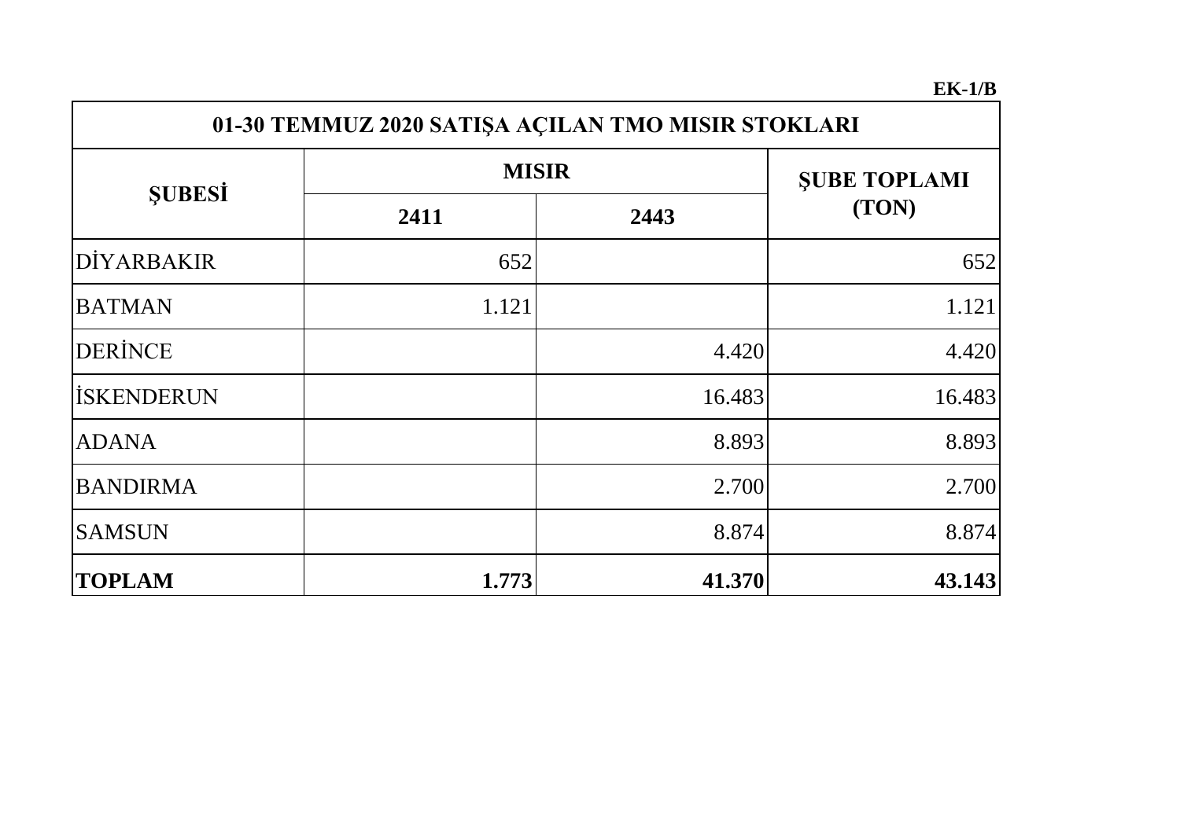## **EK-1/B**

| 01-30 TEMMUZ 2020 SATIŞA AÇILAN TMO MISIR STOKLARI |              |                     |        |  |  |  |
|----------------------------------------------------|--------------|---------------------|--------|--|--|--|
|                                                    | <b>MISIR</b> | <b>SUBE TOPLAMI</b> |        |  |  |  |
| <b>SUBESI</b>                                      | 2411         | 2443                | (TON)  |  |  |  |
| DİYARBAKIR                                         | 652          |                     | 652    |  |  |  |
| <b>BATMAN</b>                                      | 1.121        |                     | 1.121  |  |  |  |
| <b>DERINCE</b>                                     |              | 4.420               | 4.420  |  |  |  |
| <b>İSKENDERUN</b>                                  |              | 16.483              | 16.483 |  |  |  |
| <b>ADANA</b>                                       |              | 8.893               | 8.893  |  |  |  |
| <b>BANDIRMA</b>                                    |              | 2.700               | 2.700  |  |  |  |
| <b>SAMSUN</b>                                      |              | 8.874               | 8.874  |  |  |  |
| <b>TOPLAM</b>                                      | 1.773        | 41.370              | 43.143 |  |  |  |